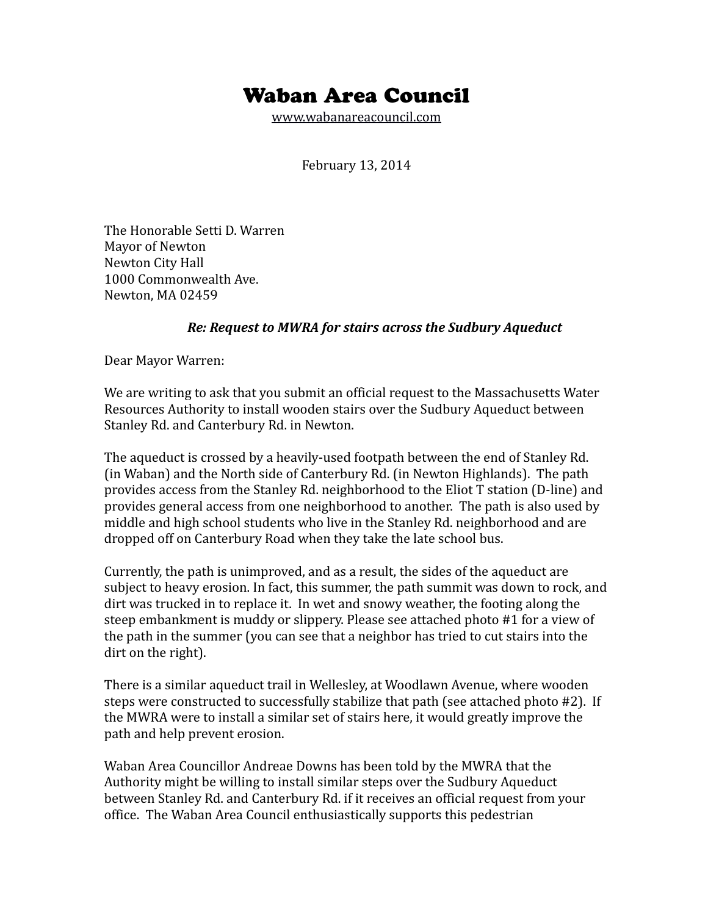## Waban Area Council

[www.wabanareacouncil.com](http://www.wabanareacouncil.com/)

February 13, 2014

The Honorable Setti D. Warren Mayor of Newton Newton City Hall 1000 Commonwealth Ave. Newton, MA 02459

## *Re: Request to MWRA for stairs across the Sudbury Aqueduct*

Dear Mayor Warren:

We are writing to ask that you submit an official request to the Massachusetts Water Resources Authority to install wooden stairs over the Sudbury Aqueduct between Stanley Rd. and Canterbury Rd. in Newton.

The aqueduct is crossed by a heavily-used footpath between the end of Stanley Rd. (in Waban) and the North side of Canterbury Rd. (in Newton Highlands). The path provides access from the Stanley Rd. neighborhood to the Eliot T station (D-line) and provides general access from one neighborhood to another. The path is also used by middle and high school students who live in the Stanley Rd. neighborhood and are dropped off on Canterbury Road when they take the late school bus.

Currently, the path is unimproved, and as a result, the sides of the aqueduct are subject to heavy erosion. In fact, this summer, the path summit was down to rock, and dirt was trucked in to replace it. In wet and snowy weather, the footing along the steep embankment is muddy or slippery. Please see attached photo #1 for a view of the path in the summer (you can see that a neighbor has tried to cut stairs into the dirt on the right).

There is a similar aqueduct trail in Wellesley, at Woodlawn Avenue, where wooden steps were constructed to successfully stabilize that path (see attached photo #2). If the MWRA were to install a similar set of stairs here, it would greatly improve the path and help prevent erosion.

Waban Area Councillor Andreae Downs has been told by the MWRA that the Authority might be willing to install similar steps over the Sudbury Aqueduct between Stanley Rd. and Canterbury Rd. if it receives an official request from your office. The Waban Area Council enthusiastically supports this pedestrian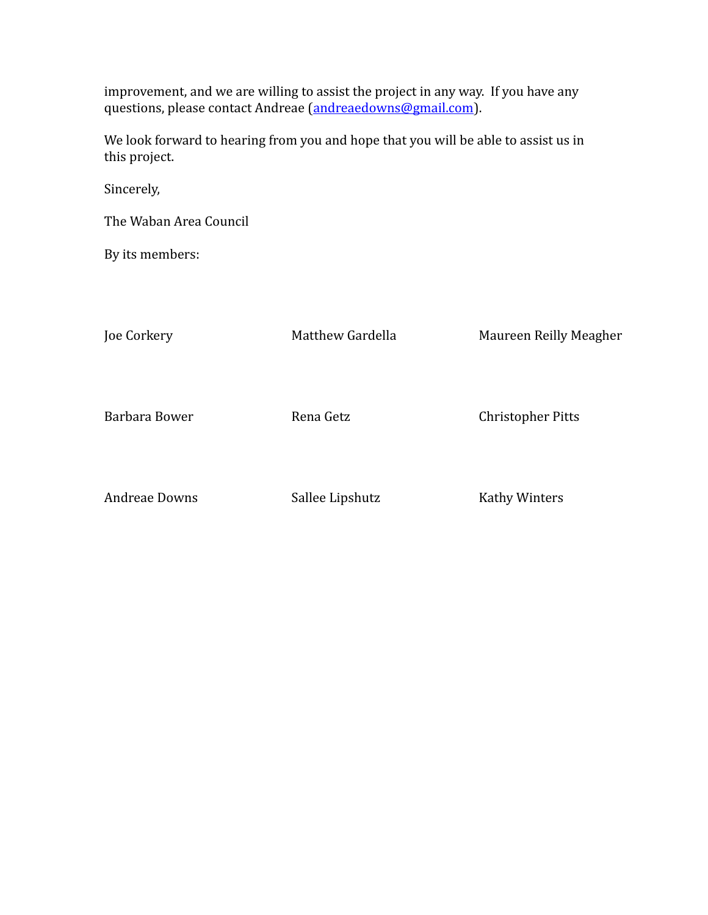improvement, and we are willing to assist the project in any way. If you have any questions, please contact Andreae [\(andreaedowns@gmail.com\)](mailto:andreaedowns@gmail.com).

We look forward to hearing from you and hope that you will be able to assist us in this project.

Sincerely,

The Waban Area Council

By its members:

Joe Corkery Matthew Gardella Maureen Reilly Meagher Barbara Bower **Rena Getz** Christopher Pitts Andreae Downs Sallee Lipshutz Kathy Winters